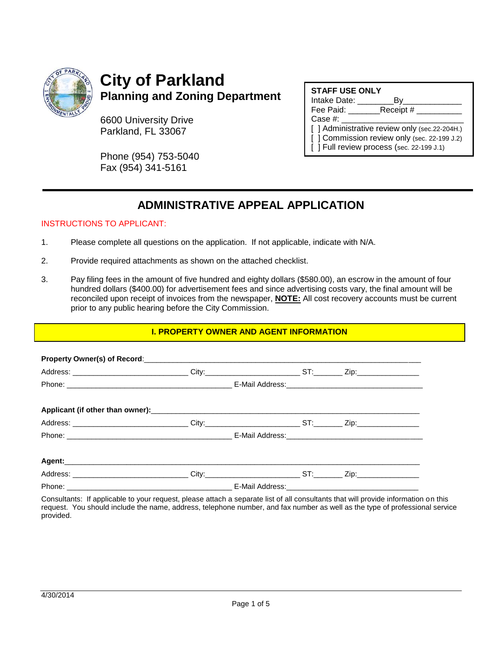

## **City of Parkland Planning and Zoning Department**

6600 University Drive Parkland, FL 33067

Phone (954) 753-5040 Fax (954) 341-5161

| <b>STAFF USE ONLY</b>                         |  |  |  |  |  |
|-----------------------------------------------|--|--|--|--|--|
| Intake Date:<br>B٧                            |  |  |  |  |  |
| Receipt #<br>Fee Paid:                        |  |  |  |  |  |
| Case #:                                       |  |  |  |  |  |
| [ ] Administrative review only (sec.22-204H.) |  |  |  |  |  |
| [ ] Commission review only (sec. 22-199 J.2)  |  |  |  |  |  |
| [ ] Full review process (sec. 22-199 J.1)     |  |  |  |  |  |

## **ADMINISTRATIVE APPEAL APPLICATION**

#### INSTRUCTIONS TO APPLICANT:

- 1. Please complete all questions on the application. If not applicable, indicate with N/A.
- 2. Provide required attachments as shown on the attached checklist.
- 3. Pay filing fees in the amount of five hundred and eighty dollars (\$580.00), an escrow in the amount of four hundred dollars (\$400.00) for advertisement fees and since advertising costs vary, the final amount will be reconciled upon receipt of invoices from the newspaper, **NOTE:** All cost recovery accounts must be current prior to any public hearing before the City Commission.

#### **I. PROPERTY OWNER AND AGENT INFORMATION**

Consultants: If applicable to your request, please attach a separate list of all consultants that will provide information on this request. You should include the name, address, telephone number, and fax number as well as the type of professional service provided.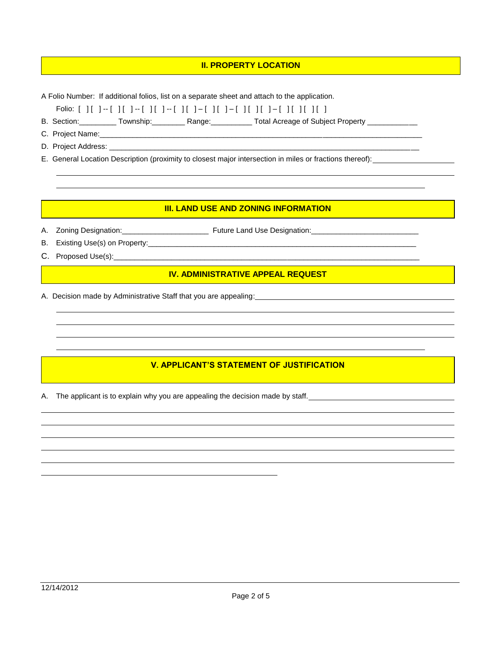#### **II. PROPERTY LOCATION**

A Folio Number: If additional folios, list on a separate sheet and attach to the application.

Folio: [ ] [ ] -- [ ] [ ] -- [ ] [ ] -- [ ] [ ] – [ ] [ ] – [ ] [ ] [ ] – [ ] [ ] [ ] [ ]

B. Section: Community: Township: Ange: Range: Total Acreage of Subject Property \_\_\_\_\_\_\_\_\_\_\_

C. Project Name:\_\_\_\_\_\_\_\_\_\_\_\_\_\_\_\_\_\_\_\_\_\_\_\_\_\_\_\_\_\_\_\_\_\_\_\_\_\_\_\_\_\_\_\_\_\_\_\_\_\_\_\_\_\_\_\_\_\_\_\_\_\_\_\_\_\_\_\_\_\_\_\_\_\_\_\_\_\_

D. Project Address: \_\_\_\_\_

E. General Location Description (proximity to closest major intersection in miles or fractions thereof):

#### **III. LAND USE AND ZONING INFORMATION**

A. Zoning Designation:\_\_\_\_\_\_\_\_\_\_\_\_\_\_\_\_\_\_\_\_\_ Future Land Use Designation:\_\_\_\_\_\_\_\_\_\_\_\_\_\_\_\_\_\_\_\_\_\_\_\_\_\_

B. Existing Use(s) on Property:\_\_\_\_\_\_\_\_\_\_\_\_\_\_\_\_\_\_\_\_\_\_\_\_\_\_\_\_\_\_\_\_\_\_\_\_\_\_\_\_\_\_\_\_\_\_\_\_\_\_\_\_\_\_\_\_\_\_\_\_\_\_\_\_\_

C. Proposed Use(s):

#### **IV. ADMINISTRATIVE APPEAL REQUEST**

A. Decision made by Administrative Staff that you are appealing:

### **V. APPLICANT'S STATEMENT OF JUSTIFICATION**

A. The applicant is to explain why you are appealing the decision made by staff.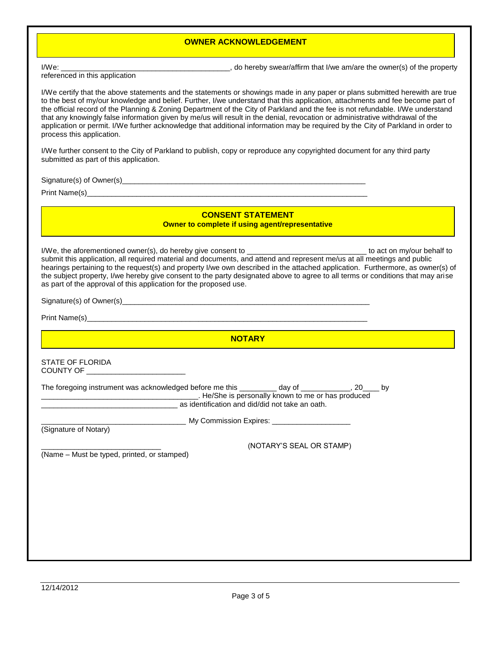#### **OWNER ACKNOWLEDGEMENT**

referenced in this application

I/We: we are the owner(s) of the property of the state of the state of the state of the property of the property

I/We certify that the above statements and the statements or showings made in any paper or plans submitted herewith are true to the best of my/our knowledge and belief. Further, I/we understand that this application, attachments and fee become part of the official record of the Planning & Zoning Department of the City of Parkland and the fee is not refundable. I/We understand that any knowingly false information given by me/us will result in the denial, revocation or administrative withdrawal of the application or permit. I/We further acknowledge that additional information may be required by the City of Parkland in order to process this application.

I/We further consent to the City of Parkland to publish, copy or reproduce any copyrighted document for any third party submitted as part of this application.

Signature(s) of Owner(s)\_\_\_\_\_\_\_\_\_\_\_\_\_\_\_\_\_\_\_\_\_\_\_\_\_\_\_\_\_\_\_\_\_\_\_\_\_\_\_\_\_\_\_\_\_\_\_\_\_\_\_\_\_\_\_\_\_\_\_

Print Name(s) and the set of the set of the set of the set of the set of the set of the set of the set of the set of the set of the set of the set of the set of the set of the set of the set of the set of the set of the se

**CONSENT STATEMENT Owner to complete if using agent/representative**

I/We, the aforementioned owner(s), do hereby give consent to **would be a large of the set of the set on my/our behalf to** submit this application, all required material and documents, and attend and represent me/us at all meetings and public hearings pertaining to the request(s) and property I/we own described in the attached application. Furthermore, as owner(s) of the subject property, I/we hereby give consent to the party designated above to agree to all terms or conditions that may arise as part of the approval of this application for the proposed use.

Signature(s) of Owner(s)\_\_\_\_\_\_\_\_\_\_\_\_\_\_\_\_\_\_\_\_\_\_\_\_\_\_\_\_\_\_\_\_\_\_\_\_\_\_\_\_\_\_\_\_\_\_\_\_\_\_\_\_\_\_\_\_\_\_\_\_

Print Name(s)

#### **NOTARY**

#### STATE OF FLORIDA COUNTY OF \_\_\_\_\_\_\_\_\_\_\_\_\_\_\_\_\_\_\_\_\_\_\_\_

| The foregoing instrument was acknowledged before me this | dav of                                             |  |
|----------------------------------------------------------|----------------------------------------------------|--|
|                                                          | . He/She is personally known to me or has produced |  |
|                                                          | as identification and did/did not take an oath.    |  |

(Signature of Notary)

\_\_\_\_\_\_\_\_\_\_\_\_\_\_\_\_\_\_\_\_\_\_\_\_\_\_\_\_\_\_\_\_\_\_\_ My Commission Expires: \_\_\_\_\_\_\_\_\_\_\_\_\_\_\_\_\_\_\_

(Name – Must be typed, printed, or stamped)

\_\_\_\_\_\_\_\_\_\_\_\_\_\_\_\_\_\_\_\_\_\_\_\_\_\_\_\_\_ (NOTARY'S SEAL OR STAMP)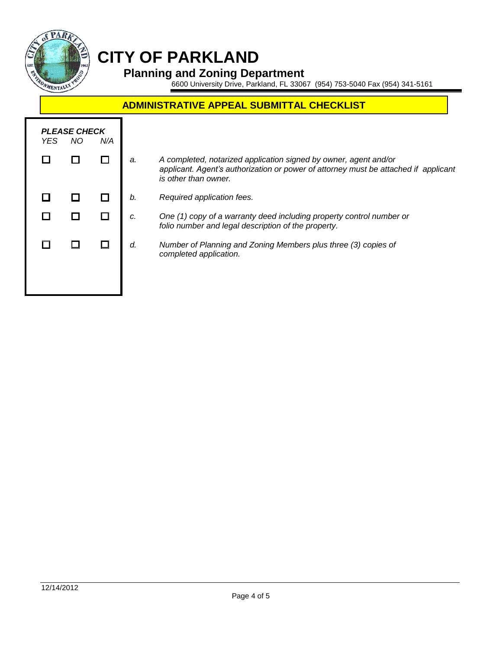

# **CITY OF PARKLAND**

### **Planning and Zoning Department**

6600 University Drive, Parkland, FL 33067 (954) 753-5040 Fax (954) 341-5161

## **ADMINISTRATIVE APPEAL SUBMITTAL CHECKLIST**

| YES. | <b>PLEASE CHECK</b><br>NO. | N/A |    |                                                                                                                                                                                 |
|------|----------------------------|-----|----|---------------------------------------------------------------------------------------------------------------------------------------------------------------------------------|
|      |                            |     | a. | A completed, notarized application signed by owner, agent and/or<br>applicant. Agent's authorization or power of attorney must be attached if applicant<br>is other than owner. |
|      |                            |     | b. | Required application fees.                                                                                                                                                      |
|      |                            |     | c. | One (1) copy of a warranty deed including property control number or<br>folio number and legal description of the property.                                                     |
|      |                            |     | d. | Number of Planning and Zoning Members plus three (3) copies of<br>completed application.                                                                                        |
|      |                            |     |    |                                                                                                                                                                                 |